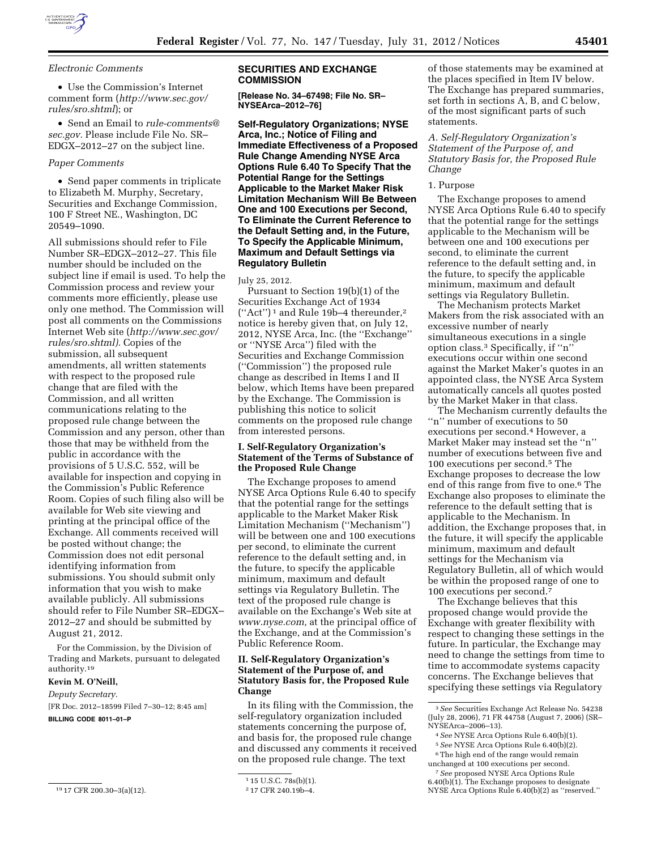

*Electronic Comments* 

• Use the Commission's Internet comment form (*[http://www.sec.gov/](http://www.sec.gov/rules/sro.shtml) [rules/sro.shtml](http://www.sec.gov/rules/sro.shtml)*); or

• Send an Email to *[rule-comments@](mailto:rule-comments@sec.gov) [sec.gov.](mailto:rule-comments@sec.gov)* Please include File No. SR– EDGX–2012–27 on the subject line.

## *Paper Comments*

• Send paper comments in triplicate to Elizabeth M. Murphy, Secretary, Securities and Exchange Commission, 100 F Street NE., Washington, DC 20549–1090.

All submissions should refer to File Number SR–EDGX–2012–27. This file number should be included on the subject line if email is used. To help the Commission process and review your comments more efficiently, please use only one method. The Commission will post all comments on the Commissions Internet Web site (*[http://www.sec.gov/](http://www.sec.gov/rules/sro.shtml) [rules/sro.shtml\).](http://www.sec.gov/rules/sro.shtml)* Copies of the submission, all subsequent amendments, all written statements with respect to the proposed rule change that are filed with the Commission, and all written communications relating to the proposed rule change between the Commission and any person, other than those that may be withheld from the public in accordance with the provisions of 5 U.S.C. 552, will be available for inspection and copying in the Commission's Public Reference Room. Copies of such filing also will be available for Web site viewing and printing at the principal office of the Exchange. All comments received will be posted without change; the Commission does not edit personal identifying information from submissions. You should submit only information that you wish to make available publicly. All submissions should refer to File Number SR–EDGX– 2012–27 and should be submitted by August 21, 2012.

For the Commission, by the Division of Trading and Markets, pursuant to delegated authority.19

## **Kevin M. O'Neill,**

*Deputy Secretary.* 

[FR Doc. 2012–18599 Filed 7–30–12; 8:45 am] **BILLING CODE 8011–01–P** 

## **SECURITIES AND EXCHANGE COMMISSION**

**[Release No. 34–67498; File No. SR– NYSEArca–2012–76]** 

**Self-Regulatory Organizations; NYSE Arca, Inc.; Notice of Filing and Immediate Effectiveness of a Proposed Rule Change Amending NYSE Arca Options Rule 6.40 To Specify That the Potential Range for the Settings Applicable to the Market Maker Risk Limitation Mechanism Will Be Between One and 100 Executions per Second, To Eliminate the Current Reference to the Default Setting and, in the Future, To Specify the Applicable Minimum, Maximum and Default Settings via Regulatory Bulletin** 

July 25, 2012.

Pursuant to Section 19(b)(1) of the Securities Exchange Act of 1934 (''Act'') 1 and Rule 19b–4 thereunder,2 notice is hereby given that, on July 12, 2012, NYSE Arca, Inc. (the ''Exchange'' or ''NYSE Arca'') filed with the Securities and Exchange Commission (''Commission'') the proposed rule change as described in Items I and II below, which Items have been prepared by the Exchange. The Commission is publishing this notice to solicit comments on the proposed rule change from interested persons.

## **I. Self-Regulatory Organization's Statement of the Terms of Substance of the Proposed Rule Change**

The Exchange proposes to amend NYSE Arca Options Rule 6.40 to specify that the potential range for the settings applicable to the Market Maker Risk Limitation Mechanism (''Mechanism'') will be between one and 100 executions per second, to eliminate the current reference to the default setting and, in the future, to specify the applicable minimum, maximum and default settings via Regulatory Bulletin. The text of the proposed rule change is available on the Exchange's Web site at *[www.nyse.com,](http://www.nyse.com)* at the principal office of the Exchange, and at the Commission's Public Reference Room.

# **II. Self-Regulatory Organization's Statement of the Purpose of, and Statutory Basis for, the Proposed Rule Change**

In its filing with the Commission, the self-regulatory organization included statements concerning the purpose of, and basis for, the proposed rule change and discussed any comments it received on the proposed rule change. The text

of those statements may be examined at the places specified in Item IV below. The Exchange has prepared summaries, set forth in sections A, B, and C below, of the most significant parts of such statements.

*A. Self-Regulatory Organization's Statement of the Purpose of, and Statutory Basis for, the Proposed Rule Change* 

#### 1. Purpose

The Exchange proposes to amend NYSE Arca Options Rule 6.40 to specify that the potential range for the settings applicable to the Mechanism will be between one and 100 executions per second, to eliminate the current reference to the default setting and, in the future, to specify the applicable minimum, maximum and default settings via Regulatory Bulletin.

The Mechanism protects Market Makers from the risk associated with an excessive number of nearly simultaneous executions in a single option class.3 Specifically, if ''n'' executions occur within one second against the Market Maker's quotes in an appointed class, the NYSE Arca System automatically cancels all quotes posted by the Market Maker in that class.

The Mechanism currently defaults the ''n'' number of executions to 50 executions per second.4 However, a Market Maker may instead set the ''n'' number of executions between five and 100 executions per second.5 The Exchange proposes to decrease the low end of this range from five to one.6 The Exchange also proposes to eliminate the reference to the default setting that is applicable to the Mechanism. In addition, the Exchange proposes that, in the future, it will specify the applicable minimum, maximum and default settings for the Mechanism via Regulatory Bulletin, all of which would be within the proposed range of one to 100 executions per second.7

The Exchange believes that this proposed change would provide the Exchange with greater flexibility with respect to changing these settings in the future. In particular, the Exchange may need to change the settings from time to time to accommodate systems capacity concerns. The Exchange believes that specifying these settings via Regulatory

<sup>19</sup> 17 CFR 200.30–3(a)(12).

<sup>1</sup> 15 U.S.C. 78s(b)(1).

<sup>2</sup> 17 CFR 240.19b–4.

<sup>3</sup>*See* Securities Exchange Act Release No. 54238 (July 28, 2006), 71 FR 44758 (August 7, 2006) (SR– NYSEArca–2006–13).

<sup>4</sup>*See* NYSE Arca Options Rule 6.40(b)(1).

<sup>5</sup>*See* NYSE Arca Options Rule 6.40(b)(2). 6The high end of the range would remain

unchanged at 100 executions per second.

<sup>7</sup>*See* proposed NYSE Arca Options Rule 6.40(b)(1). The Exchange proposes to designate NYSE Arca Options Rule 6.40(b)(2) as ''reserved.''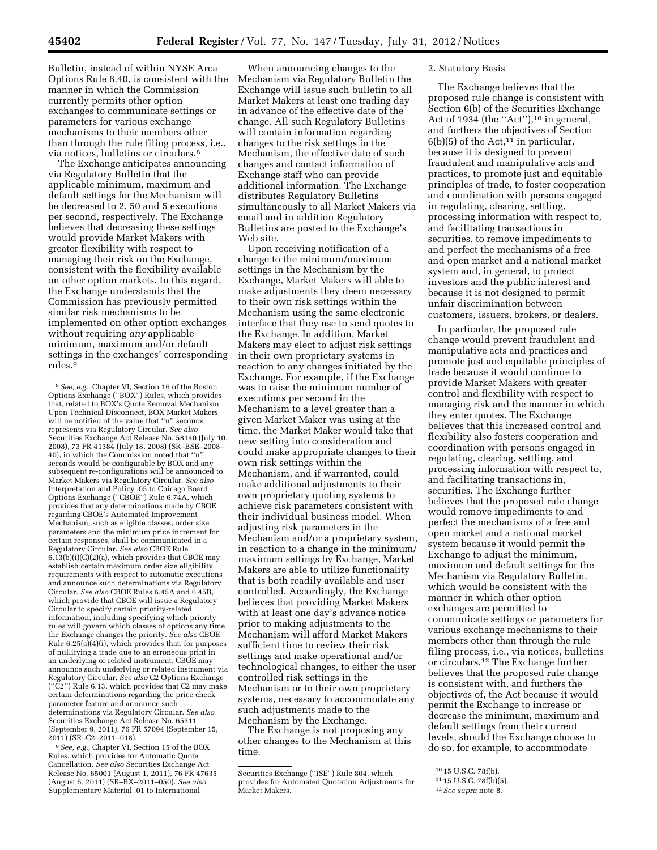Bulletin, instead of within NYSE Arca Options Rule 6.40, is consistent with the manner in which the Commission currently permits other option exchanges to communicate settings or parameters for various exchange mechanisms to their members other than through the rule filing process, i.e., via notices, bulletins or circulars.8

The Exchange anticipates announcing via Regulatory Bulletin that the applicable minimum, maximum and default settings for the Mechanism will be decreased to 2, 50 and 5 executions per second, respectively. The Exchange believes that decreasing these settings would provide Market Makers with greater flexibility with respect to managing their risk on the Exchange, consistent with the flexibility available on other option markets. In this regard, the Exchange understands that the Commission has previously permitted similar risk mechanisms to be implemented on other option exchanges without requiring *any* applicable minimum, maximum and/or default settings in the exchanges' corresponding rules.9

9*See, e.g.,* Chapter VI, Section 15 of the BOX Rules, which provides for Automatic Quote Cancellation. *See also* Securities Exchange Act Release No. 65001 (August 1, 2011), 76 FR 47635 (August 5, 2011) (SR–BX–2011–050). *See also*  Supplementary Material .01 to International

When announcing changes to the Mechanism via Regulatory Bulletin the Exchange will issue such bulletin to all Market Makers at least one trading day in advance of the effective date of the change. All such Regulatory Bulletins will contain information regarding changes to the risk settings in the Mechanism, the effective date of such changes and contact information of Exchange staff who can provide additional information. The Exchange distributes Regulatory Bulletins simultaneously to all Market Makers via email and in addition Regulatory Bulletins are posted to the Exchange's Web site.

Upon receiving notification of a change to the minimum/maximum settings in the Mechanism by the Exchange, Market Makers will able to make adjustments they deem necessary to their own risk settings within the Mechanism using the same electronic interface that they use to send quotes to the Exchange. In addition, Market Makers may elect to adjust risk settings in their own proprietary systems in reaction to any changes initiated by the Exchange. For example, if the Exchange was to raise the minimum number of executions per second in the Mechanism to a level greater than a given Market Maker was using at the time, the Market Maker would take that new setting into consideration and could make appropriate changes to their own risk settings within the Mechanism, and if warranted, could make additional adjustments to their own proprietary quoting systems to achieve risk parameters consistent with their individual business model. When adjusting risk parameters in the Mechanism and/or a proprietary system, in reaction to a change in the minimum/ maximum settings by Exchange, Market Makers are able to utilize functionality that is both readily available and user controlled. Accordingly, the Exchange believes that providing Market Makers with at least one day's advance notice prior to making adjustments to the Mechanism will afford Market Makers sufficient time to review their risk settings and make operational and/or technological changes, to either the user controlled risk settings in the Mechanism or to their own proprietary systems, necessary to accommodate any such adjustments made to the Mechanism by the Exchange.

The Exchange is not proposing any other changes to the Mechanism at this time.

## 2. Statutory Basis

The Exchange believes that the proposed rule change is consistent with Section 6(b) of the Securities Exchange Act of 1934 (the "Act"),<sup>10</sup> in general, and furthers the objectives of Section  $6(b)(5)$  of the Act,<sup>11</sup> in particular, because it is designed to prevent fraudulent and manipulative acts and practices, to promote just and equitable principles of trade, to foster cooperation and coordination with persons engaged in regulating, clearing, settling, processing information with respect to, and facilitating transactions in securities, to remove impediments to and perfect the mechanisms of a free and open market and a national market system and, in general, to protect investors and the public interest and because it is not designed to permit unfair discrimination between customers, issuers, brokers, or dealers.

In particular, the proposed rule change would prevent fraudulent and manipulative acts and practices and promote just and equitable principles of trade because it would continue to provide Market Makers with greater control and flexibility with respect to managing risk and the manner in which they enter quotes. The Exchange believes that this increased control and flexibility also fosters cooperation and coordination with persons engaged in regulating, clearing, settling, and processing information with respect to, and facilitating transactions in, securities. The Exchange further believes that the proposed rule change would remove impediments to and perfect the mechanisms of a free and open market and a national market system because it would permit the Exchange to adjust the minimum, maximum and default settings for the Mechanism via Regulatory Bulletin, which would be consistent with the manner in which other option exchanges are permitted to communicate settings or parameters for various exchange mechanisms to their members other than through the rule filing process, i.e., via notices, bulletins or circulars.12 The Exchange further believes that the proposed rule change is consistent with, and furthers the objectives of, the Act because it would permit the Exchange to increase or decrease the minimum, maximum and default settings from their current levels, should the Exchange choose to do so, for example, to accommodate

<sup>&</sup>lt;sup>8</sup> *See, e.g.,* Chapter VI, Section 16 of the Boston Options Exchange ("BOX") Rules, which provides that, related to BOX's Quote Removal Mechanism Upon Technical Disconnect, BOX Market Makers will be notified of the value that ''n'' seconds represents via Regulatory Circular. *See also*  Securities Exchange Act Release No. 58140 (July 10, 2008), 73 FR 41384 (July 18, 2008) (SR–BSE–2008– 40), in which the Commission noted that ''n'' seconds would be configurable by BOX and any subsequent re-configurations will be announced to Market Makers via Regulatory Circular. *See also*  Interpretation and Policy .05 to Chicago Board Options Exchange (''CBOE'') Rule 6.74A, which provides that any determinations made by CBOE regarding CBOE's Automated Improvement Mechanism, such as eligible classes, order size parameters and the minimum price increment for certain responses, shall be communicated in a Regulatory Circular. *See also* CBOE Rule  $6.13(b)(i)(C)(2)(a)$ , which provides that CBOE may establish certain maximum order size eligibility requirements with respect to automatic executions and announce such determinations via Regulatory Circular. *See also* CBOE Rules 6.45A and 6.45B, which provide that CBOE will issue a Regulatory Circular to specify certain priority-related information, including specifying which priority rules will govern which classes of options any time the Exchange changes the priority. *See also* CBOE Rule 6.25(a)(4)(i), which provides that, for purposes of nullifying a trade due to an erroneous print in an underlying or related instrument, CBOE may announce such underlying or related instrument via Regulatory Circular. *See also* C2 Options Exchange (''C2'') Rule 6.13, which provides that C2 may make certain determinations regarding the price check parameter feature and announce such determinations via Regulatory Circular. *See also*  Securities Exchange Act Release No. 65311 (September 9, 2011), 76 FR 57094 (September 15, 2011) (SR–C2–2011–018).

Securities Exchange (''ISE'') Rule 804, which provides for Automated Quotation Adjustments for Market Makers.

<sup>10</sup> 15 U.S.C. 78f(b).

<sup>11</sup> 15 U.S.C. 78f(b)(5).

<sup>12</sup>*See supra* note 8.